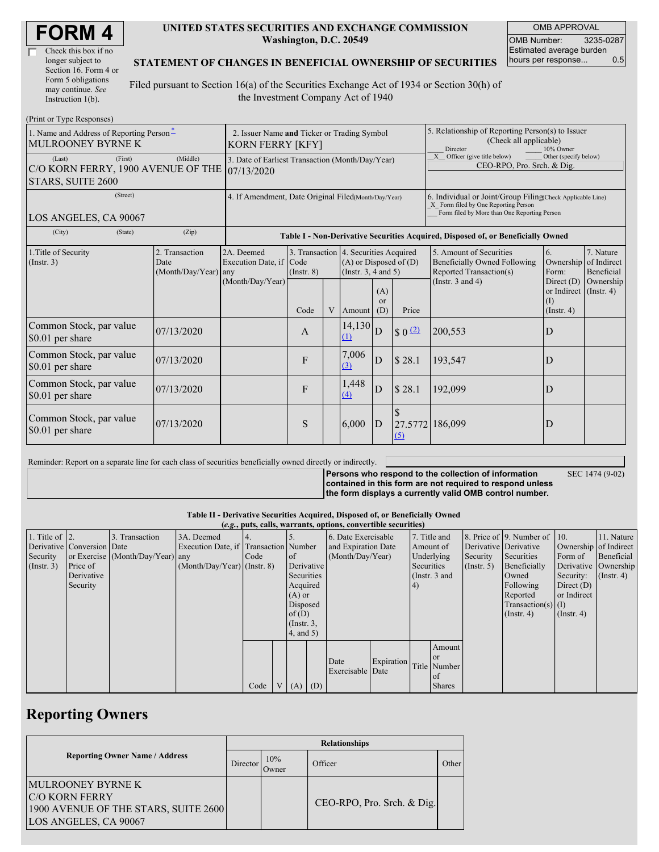| <b>FORM4</b> |
|--------------|
|--------------|

| Check this box if no  |
|-----------------------|
| longer subject to     |
| Section 16. Form 4 or |
| Form 5 obligations    |
| may continue. See     |
| Instruction 1(b).     |

#### **UNITED STATES SECURITIES AND EXCHANGE COMMISSION Washington, D.C. 20549**

OMB APPROVAL OMB Number: 3235-0287 Estimated average burden hours per response... 0.5

#### **STATEMENT OF CHANGES IN BENEFICIAL OWNERSHIP OF SECURITIES**

Filed pursuant to Section 16(a) of the Securities Exchange Act of 1934 or Section 30(h) of the Investment Company Act of 1940

| (Print or Type Responses)                                                               |                                                                        |                                                                                  |                 |   |                                                                                                 |                             |                                                                                                                                                    |                                                                                                                                                                |                                              |                                                     |
|-----------------------------------------------------------------------------------------|------------------------------------------------------------------------|----------------------------------------------------------------------------------|-----------------|---|-------------------------------------------------------------------------------------------------|-----------------------------|----------------------------------------------------------------------------------------------------------------------------------------------------|----------------------------------------------------------------------------------------------------------------------------------------------------------------|----------------------------------------------|-----------------------------------------------------|
| 1. Name and Address of Reporting Person-<br><b>MULROONEY BYRNE K</b>                    | 2. Issuer Name and Ticker or Trading Symbol<br><b>KORN FERRY [KFY]</b> |                                                                                  |                 |   |                                                                                                 |                             | 5. Relationship of Reporting Person(s) to Issuer<br>(Check all applicable)<br>Director<br>10% Owner                                                |                                                                                                                                                                |                                              |                                                     |
| (First)<br>(Last)<br>C/O KORN FERRY, 1900 AVENUE OF THE 07/13/2020<br>STARS, SUITE 2600 | 3. Date of Earliest Transaction (Month/Day/Year)                       |                                                                                  |                 |   |                                                                                                 |                             | X Officer (give title below)<br>Other (specify below)<br>CEO-RPO, Pro. Srch. & Dig.                                                                |                                                                                                                                                                |                                              |                                                     |
| (Street)<br>LOS ANGELES, CA 90067                                                       | 4. If Amendment, Date Original Filed(Month/Day/Year)                   |                                                                                  |                 |   |                                                                                                 |                             | 6. Individual or Joint/Group Filing(Check Applicable Line)<br>X Form filed by One Reporting Person<br>Form filed by More than One Reporting Person |                                                                                                                                                                |                                              |                                                     |
| (City)<br>(State)                                                                       | (Zip)                                                                  | Table I - Non-Derivative Securities Acquired, Disposed of, or Beneficially Owned |                 |   |                                                                                                 |                             |                                                                                                                                                    |                                                                                                                                                                |                                              |                                                     |
| 1. Title of Security<br>$($ Instr. 3 $)$                                                | 2. Transaction<br>Date<br>(Month/Day/Year) any                         | 2A. Deemed<br>Execution Date, if Code<br>(Month/Day/Year)                        | $($ Instr. $8)$ |   | 3. Transaction 4. Securities Acquired<br>$(A)$ or Disposed of $(D)$<br>(Instr. $3, 4$ and $5$ ) |                             |                                                                                                                                                    | 5. Amount of Securities<br>6.<br><b>Beneficially Owned Following</b><br>Ownership<br>Reported Transaction(s)<br>Form:<br>(Instr. $3$ and $4$ )<br>Direct $(D)$ |                                              | 7. Nature<br>of Indirect<br>Beneficial<br>Ownership |
|                                                                                         |                                                                        |                                                                                  | Code            | V | Amount                                                                                          | (A)<br><sub>or</sub><br>(D) | Price                                                                                                                                              |                                                                                                                                                                | or Indirect (Instr. 4)<br>(I)<br>(Insert, 4) |                                                     |
| Common Stock, par value<br>\$0.01 per share                                             | 07/13/2020                                                             |                                                                                  | $\mathbf{A}$    |   | $14,130$ <sub>D</sub><br>(1)                                                                    |                             | $\frac{2}{2}$                                                                                                                                      | 200,553                                                                                                                                                        | D                                            |                                                     |
| Common Stock, par value<br>\$0.01 per share                                             | 07/13/2020                                                             |                                                                                  | F               |   | 7,006<br>(3)                                                                                    | D                           | \$28.1                                                                                                                                             | 193,547                                                                                                                                                        | D                                            |                                                     |
| Common Stock, par value<br>\$0.01 per share                                             | 07/13/2020                                                             |                                                                                  | F               |   | 1,448<br>(4)                                                                                    | D                           | $\$\,28.1$                                                                                                                                         | 192,099                                                                                                                                                        | D                                            |                                                     |
| Common Stock, par value<br>\$0.01 per share                                             | 07/13/2020                                                             |                                                                                  | S               |   | 6,000                                                                                           | ID                          | 27.5772 186,099<br>$\Omega$                                                                                                                        |                                                                                                                                                                | D                                            |                                                     |

Reminder: Report on a separate line for each class of securities beneficially owned directly or indirectly.

**Persons who respond to the collection of information contained in this form are not required to respond unless**

SEC 1474 (9-02)

**the form displays a currently valid OMB control number.**

### **Table II - Derivative Securities Acquired, Disposed of, or Beneficially Owned**

| (e.g., puts, calls, warrants, options, convertible securities) |                            |                                  |                                       |      |  |                  |            |                          |  |  |               |            |                              |                  |               |                      |              |           |                  |              |  |  |  |           |  |                       |  |                       |  |
|----------------------------------------------------------------|----------------------------|----------------------------------|---------------------------------------|------|--|------------------|------------|--------------------------|--|--|---------------|------------|------------------------------|------------------|---------------|----------------------|--------------|-----------|------------------|--------------|--|--|--|-----------|--|-----------------------|--|-----------------------|--|
| 1. Title of $\vert$ 2.                                         |                            | 3. Transaction                   | 3A. Deemed                            |      |  |                  |            | 6. Date Exercisable      |  |  | 7. Title and  |            | 8. Price of 9. Number of 10. |                  | 11. Nature    |                      |              |           |                  |              |  |  |  |           |  |                       |  |                       |  |
|                                                                | Derivative Conversion Date |                                  | Execution Date, if Transaction Number |      |  |                  |            | and Expiration Date      |  |  |               |            |                              |                  |               |                      |              |           |                  |              |  |  |  | Amount of |  | Derivative Derivative |  | Ownership of Indirect |  |
| Security                                                       |                            | or Exercise (Month/Day/Year) any |                                       | Code |  | of of            |            | (Month/Day/Year)         |  |  |               |            | Underlying                   | Security         | Securities    | Form of              | Beneficial   |           |                  |              |  |  |  |           |  |                       |  |                       |  |
| $($ Instr. 3 $)$                                               | Price of                   |                                  | $(Month/Day/Year)$ (Instr. 8)         |      |  |                  | Derivative |                          |  |  |               | Securities |                              | $($ Instr. 5)    | Beneficially  | Derivative Ownership |              |           |                  |              |  |  |  |           |  |                       |  |                       |  |
|                                                                | Derivative                 |                                  |                                       |      |  | Securities       |            |                          |  |  |               |            |                              |                  | (Instr. 3 and |                      | Owned        | Security: | $($ Instr. 4 $)$ |              |  |  |  |           |  |                       |  |                       |  |
|                                                                | Security                   |                                  |                                       |      |  | Acquired         |            |                          |  |  |               |            |                              |                  |               | 4)                   |              |           | Following        | Direct $(D)$ |  |  |  |           |  |                       |  |                       |  |
|                                                                |                            |                                  |                                       |      |  | $(A)$ or         |            |                          |  |  |               |            | Reported                     | or Indirect      |               |                      |              |           |                  |              |  |  |  |           |  |                       |  |                       |  |
|                                                                |                            |                                  |                                       |      |  | Disposed         |            |                          |  |  |               |            | $Transaction(s)$ (I)         |                  |               |                      |              |           |                  |              |  |  |  |           |  |                       |  |                       |  |
|                                                                |                            |                                  |                                       |      |  | of $(D)$         |            |                          |  |  |               |            | $($ Instr. 4 $)$             | $($ Instr. 4 $)$ |               |                      |              |           |                  |              |  |  |  |           |  |                       |  |                       |  |
|                                                                |                            |                                  |                                       |      |  | $($ Instr. $3$ , |            |                          |  |  |               |            |                              |                  |               |                      |              |           |                  |              |  |  |  |           |  |                       |  |                       |  |
|                                                                |                            |                                  |                                       |      |  | $4$ , and $5$ )  |            |                          |  |  |               |            |                              |                  |               |                      |              |           |                  |              |  |  |  |           |  |                       |  |                       |  |
|                                                                |                            |                                  |                                       |      |  |                  |            |                          |  |  | Amount        |            |                              |                  |               |                      |              |           |                  |              |  |  |  |           |  |                       |  |                       |  |
|                                                                |                            |                                  |                                       |      |  |                  |            |                          |  |  | <b>or</b>     |            |                              |                  |               |                      |              |           |                  |              |  |  |  |           |  |                       |  |                       |  |
|                                                                |                            |                                  |                                       |      |  |                  |            | Date<br>Exercisable Date |  |  |               |            |                              |                  | Expiration    |                      | Title Number |           |                  |              |  |  |  |           |  |                       |  |                       |  |
|                                                                |                            |                                  |                                       |      |  |                  |            |                          |  |  | of            |            |                              |                  |               |                      |              |           |                  |              |  |  |  |           |  |                       |  |                       |  |
|                                                                |                            |                                  |                                       | Code |  | (A)              | (D)        |                          |  |  | <b>Shares</b> |            |                              |                  |               |                      |              |           |                  |              |  |  |  |           |  |                       |  |                       |  |

## **Reporting Owners**

|                                                                                                                    | <b>Relationships</b> |              |                            |       |  |  |  |  |  |
|--------------------------------------------------------------------------------------------------------------------|----------------------|--------------|----------------------------|-------|--|--|--|--|--|
| <b>Reporting Owner Name / Address</b><br>Director                                                                  |                      | 10%<br>Owner | Officer                    | Other |  |  |  |  |  |
| <b>MULROONEY BYRNE K</b><br><b>C/O KORN FERRY</b><br>1900 AVENUE OF THE STARS, SUITE 2600<br>LOS ANGELES, CA 90067 |                      |              | CEO-RPO, Pro. Srch. & Dig. |       |  |  |  |  |  |